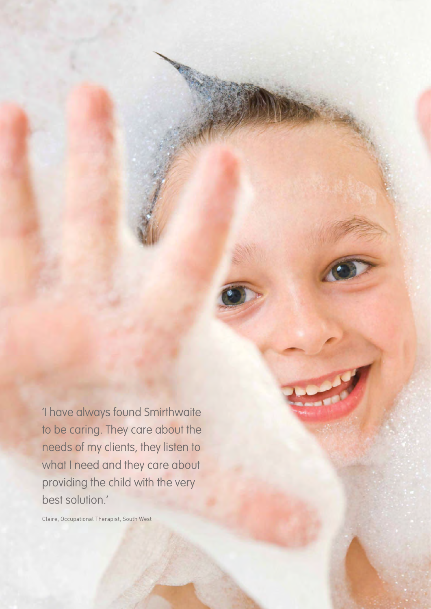'I have always found Smirthwaite to be caring. They care about the needs of my clients, they listen to what I need and they care about providing the child with the very best solution.'

Claire, Occupational Therapist, South West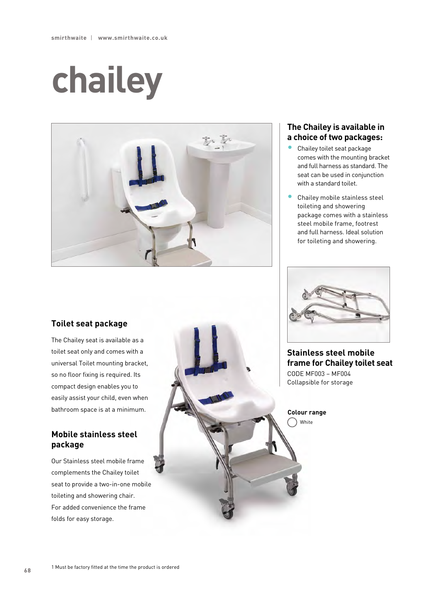# **chailey**



#### **The Chailey is available in a choice of two packages:**

- Chailey toilet seat package comes with the mounting bracket and full harness as standard. The seat can be used in conjunction with a standard toilet.
- Chailey mobile stainless steel toileting and showering package comes with a stainless steel mobile frame, footrest and full harness. Ideal solution for toileting and showering.



**Stainless steel mobile frame for Chailey toilet seat**  CODE MF003 – MF004 Collapsible for storage

White **Colour range**

### **Toilet seat package**

The Chailey seat is available as a toilet seat only and comes with a universal Toilet mounting bracket, so no floor fixing is required. Its compact design enables you to easily assist your child, even when bathroom space is at a minimum.

### **Mobile stainless steel package**

Our Stainless steel mobile frame complements the Chailey toilet seat to provide a two-in-one mobile toileting and showering chair. For added convenience the frame folds for easy storage.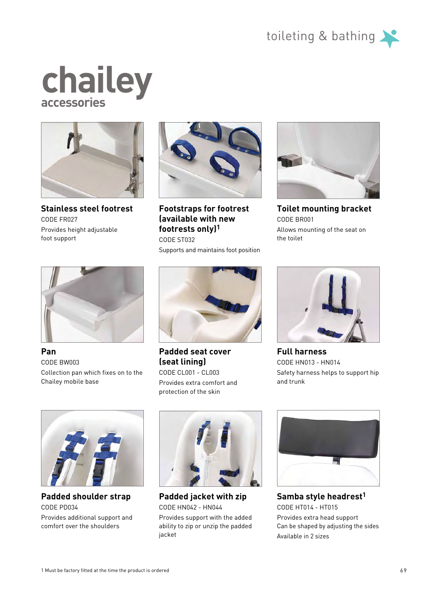





**Stainless steel footrest**  CODE FR027 Provides height adjustable foot support



**Footstraps for footrest (available with new footrests only)1**  CODE ST032 Supports and maintains foot position



**Toilet mounting bracket**  CODE BR001 Allows mounting of the seat on the toilet



**Pan**  CODE BW003 Collection pan which fixes on to the Chailey mobile base



**Padded seat cover (seat lining)**  CODE CL001 - CL003

Provides extra comfort and protection of the skin



**Full harness**  CODE HN013 - HN014 Safety harness helps to support hip and trunk



**Padded shoulder strap**  CODE PD034 Provides additional support and comfort over the shoulders



**Padded jacket with zip**  CODE HN042 - HN044 Provides support with the added ability to zip or unzip the padded jacket



**Samba style headrest1** CODE HT014 - HT015 Provides extra head support Can be shaped by adjusting the sides Available in 2 sizes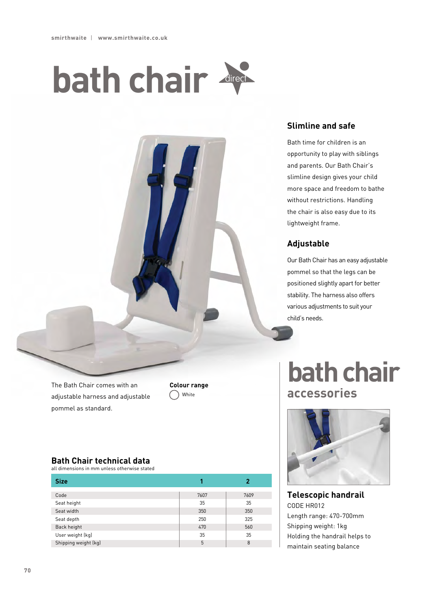## **bath chair** <u>di</u>re<u>ct</u>

### **Slimline and safe**

Bath time for children is an opportunity to play with siblings and parents. Our Bath Chair's slimline design gives your child more space and freedom to bathe without restrictions. Handling the chair is also easy due to its lightweight frame.

### **Adjustable**

Our Bath Chair has an easy adjustable pommel so that the legs can be positioned slightly apart for better stability. The harness also offers various adjustments to suit your child's needs.

### The Bath Chair comes with an adjustable harness and adjustable pommel as standard.

◯ White **Colour range**

## **bath chair accessories**



**Telescopic handrail**  CODE HR012 Length range: 470-700mm Shipping weight: 1kg Holding the handrail helps to maintain seating balance

### **Bath Chair technical data**

all dimensions in mm unless otherwise stated

| <b>Size</b>          |      | 2    |
|----------------------|------|------|
| Code                 | 7607 | 7609 |
| Seat height          | 35   | 35   |
| Seat width           | 350  | 350  |
| Seat depth           | 250  | 325  |
| Back height          | 470  | 560  |
| User weight (kg)     | 35   | 35   |
| Shipping weight (kg) | 5    | 8    |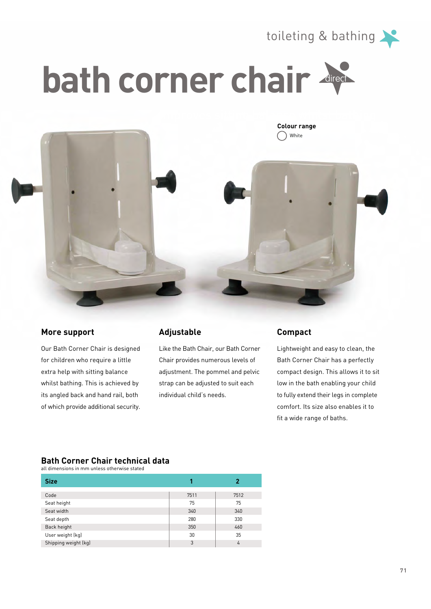

### **bath corner chair** <u>di</u>re<u>ct</u>



### **More support**

Our Bath Corner Chair is designed for children who require a little extra help with sitting balance whilst bathing. This is achieved by its angled back and hand rail, both of which provide additional security.

### **Adjustable**

Like the Bath Chair, our Bath Corner Chair provides numerous levels of adjustment. The pommel and pelvic strap can be adjusted to suit each individual child's needs.

### **Compact**

Lightweight and easy to clean, the Bath Corner Chair has a perfectly compact design. This allows it to sit low in the bath enabling your child to fully extend their legs in complete comfort. Its size also enables it to fit a wide range of baths.

#### **Bath Corner Chair technical data**

all dimensions in mm unless otherwise stated

| <b>Size</b>          |      | 2    |
|----------------------|------|------|
| Code                 | 7511 | 7512 |
| Seat height          | 75   | 75   |
| Seat width           | 340  | 340  |
| Seat depth           | 280  | 330  |
| Back height          | 350  | 460  |
| User weight (kg)     | 30   | 35   |
| Shipping weight (kg) | 3    | 4    |